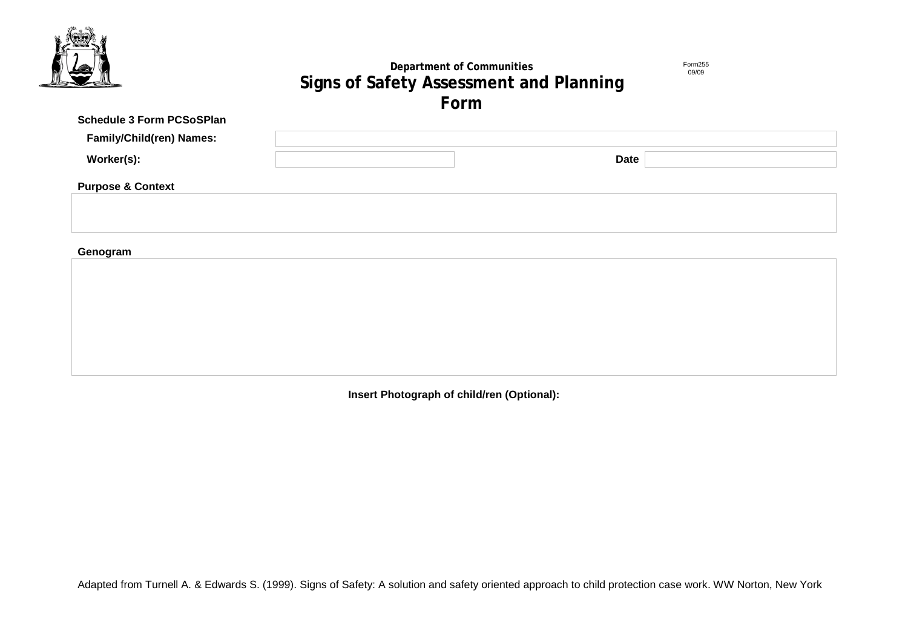

# **Department of Communities Signs of Safety Assessment and Planning Form**

Form255 09/09

| Schedule 3 Form PCSoSPlan       |  |             |  |
|---------------------------------|--|-------------|--|
| <b>Family/Child(ren) Names:</b> |  |             |  |
| Worker(s):                      |  | <b>Date</b> |  |
| <b>Purpose &amp; Context</b>    |  |             |  |
|                                 |  |             |  |
|                                 |  |             |  |
| Genogram                        |  |             |  |

**Insert Photograph of child/ren (Optional):**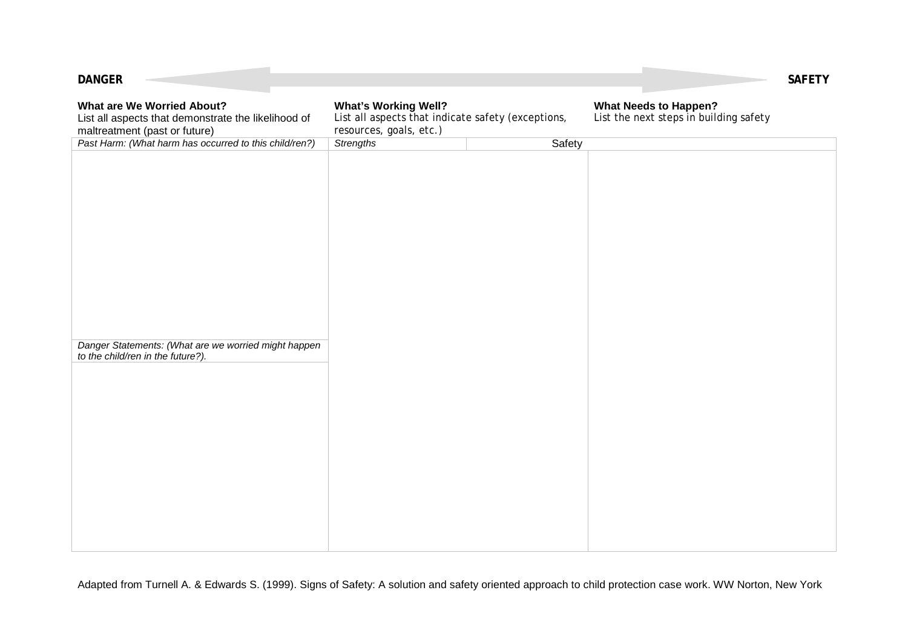| <b>DANGER</b>                                                                                                             |                                                                                                              |        |                                                                        | <b>SAFETY</b> |
|---------------------------------------------------------------------------------------------------------------------------|--------------------------------------------------------------------------------------------------------------|--------|------------------------------------------------------------------------|---------------|
| <b>What are We Worried About?</b><br>List all aspects that demonstrate the likelihood of<br>maltreatment (past or future) | <b>What's Working Well?</b><br>List all aspects that indicate safety (exceptions,<br>resources, goals, etc.) |        | <b>What Needs to Happen?</b><br>List the next steps in building safety |               |
| Past Harm: (What harm has occurred to this child/ren?)                                                                    | <b>Strengths</b>                                                                                             | Safety |                                                                        |               |
| Danger Statements: (What are we worried might happen<br>to the child/ren in the future?).                                 |                                                                                                              |        |                                                                        |               |
|                                                                                                                           |                                                                                                              |        |                                                                        |               |

**COLLEGE**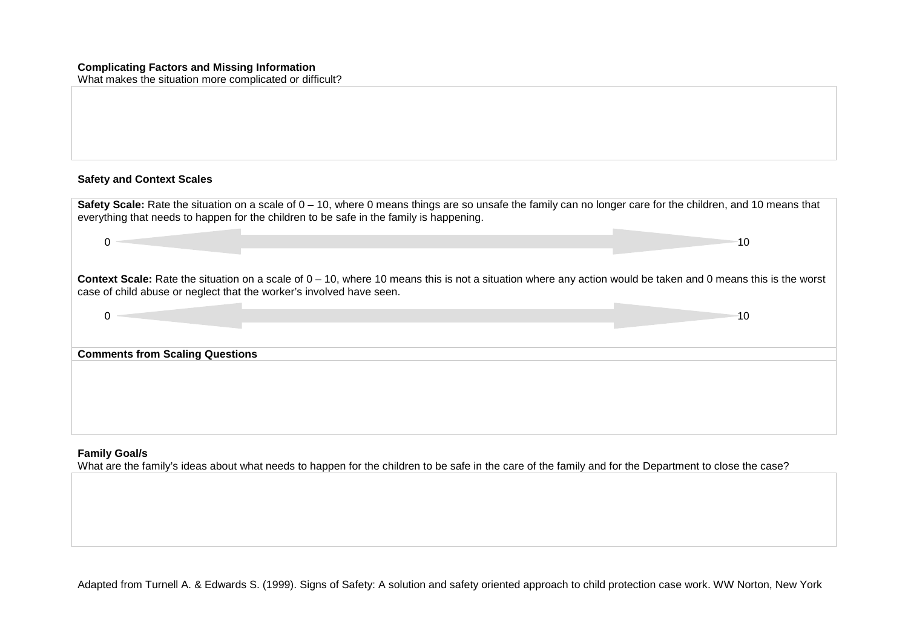### **Complicating Factors and Missing Information**

What makes the situation more complicated or difficult?

## **Safety and Context Scales**

| Safety Scale: Rate the situation on a scale of 0 – 10, where 0 means things are so unsafe the family can no longer care for the children, and 10 means that<br>everything that needs to happen for the children to be safe in the family is happening. |     |
|--------------------------------------------------------------------------------------------------------------------------------------------------------------------------------------------------------------------------------------------------------|-----|
| 0                                                                                                                                                                                                                                                      | 10  |
| Context Scale: Rate the situation on a scale of $0-10$ , where 10 means this is not a situation where any action would be taken and 0 means this is the worst<br>case of child abuse or neglect that the worker's involved have seen.                  |     |
| $\Omega$                                                                                                                                                                                                                                               | -10 |
| <b>Comments from Scaling Questions</b>                                                                                                                                                                                                                 |     |
|                                                                                                                                                                                                                                                        |     |
|                                                                                                                                                                                                                                                        |     |
|                                                                                                                                                                                                                                                        |     |

#### **Family Goal/s**

What are the family's ideas about what needs to happen for the children to be safe in the care of the family and for the Department to close the case?